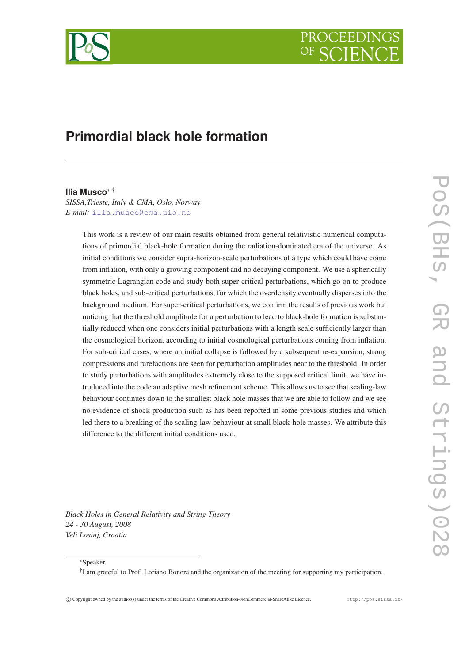

# **Primordial black hole formation**

#### **Ilia Musco**<sup>∗</sup> †

*SISSA,Trieste, Italy & CMA, Oslo, Norway E-mail:* [ilia.musco@cma.uio.no](mailto:ilia.musco@cma.uio.no)

> This work is a review of our main results obtained from general relativistic numerical computations of primordial black-hole formation during the radiation-dominated era of the universe. As initial conditions we consider supra-horizon-scale perturbations of a type which could have come from inflation, with only a growing component and no decaying component. We use a spherically symmetric Lagrangian code and study both super-critical perturbations, which go on to produce black holes, and sub-critical perturbations, for which the overdensity eventually disperses into the background medium. For super-critical perturbations, we confirm the results of previous work but noticing that the threshold amplitude for a perturbation to lead to black-hole formation is substantially reduced when one considers initial perturbations with a length scale sufficiently larger than the cosmological horizon, according to initial cosmological perturbations coming from inflation. For sub-critical cases, where an initial collapse is followed by a subsequent re-expansion, strong compressions and rarefactions are seen for perturbation amplitudes near to the threshold. In order to study perturbations with amplitudes extremely close to the supposed critical limit, we have introduced into the code an adaptive mesh refinement scheme. This allows us to see that scaling-law behaviour continues down to the smallest black hole masses that we are able to follow and we see no evidence of shock production such as has been reported in some previous studies and which led there to a breaking of the scaling-law behaviour at small black-hole masses. We attribute this difference to the different initial conditions used.

*Black Holes in General Relativity and String Theory 24 - 30 August, 2008 Veli Losinj, Croatia*

<sup>∗</sup>Speaker.

† I am grateful to Prof. Loriano Bonora and the organization of the meeting for supporting my participation.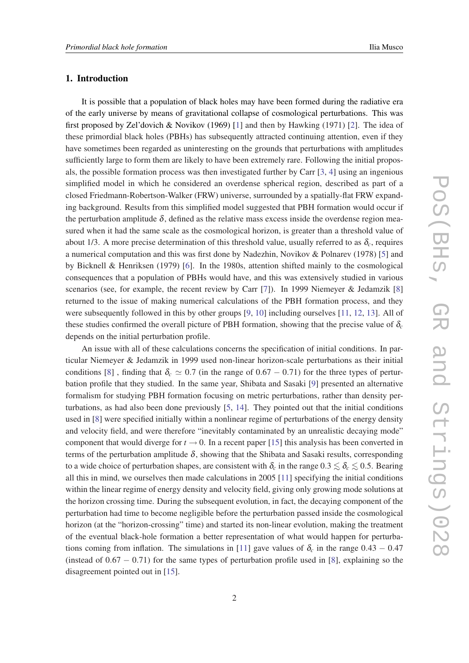# 1. Introduction

It is possible that a population of black holes may have been formed during the radiative era of the early universe by means of gravitational collapse of cosmological perturbations. This was first proposed by Zel'dovich & Novikov (1969) [\[1\]](#page-17-0) and then by Hawking (1971) [\[2\]](#page-17-0). The idea of these primordial black holes (PBHs) has subsequently attracted continuing attention, even if they have sometimes been regarded as uninteresting on the grounds that perturbations with amplitudes sufficiently large to form them are likely to have been extremely rare. Following the initial proposals, the possible formation process was then investigated further by Carr [[3](#page-17-0), [4](#page-17-0)] using an ingenious simplified model in which he considered an overdense spherical region, described as part of a closed Friedmann-Robertson-Walker (FRW) universe, surrounded by a spatially-flat FRW expanding background. Results from this simplified model suggested that PBH formation would occur if the perturbation amplitude  $\delta$ , defined as the relative mass excess inside the overdense region measured when it had the same scale as the cosmological horizon, is greater than a threshold value of about 1/3. A more precise determination of this threshold value, usually referred to as  $\delta_c$ , requires a numerical computation and this was first done by Nadezhin, Novikov & Polnarev (1978) [\[5\]](#page-17-0) and by Bicknell & Henriksen (1979) [\[6\]](#page-17-0). In the 1980s, attention shifted mainly to the cosmological consequences that a population of PBHs would have, and this was extensively studied in various scenarios (see, for example, the recent review by Carr [[7\]](#page-17-0)). In 1999 Niemeyer & Jedamzik [[8](#page-17-0)] returned to the issue of making numerical calculations of the PBH formation process, and they were subsequently followed in this by other groups [[9](#page-17-0), [10\]](#page-17-0) including ourselves [[11,](#page-17-0) [12,](#page-17-0) [13](#page-17-0)]. All of these studies confirmed the overall picture of PBH formation, showing that the precise value of  $\delta_c$ depends on the initial perturbation profile.

An issue with all of these calculations concerns the specification of initial conditions. In particular Niemeyer & Jedamzik in 1999 used non-linear horizon-scale perturbations as their initial conditions [[8](#page-17-0)], finding that  $\delta_c \simeq 0.7$  (in the range of 0.67 – 0.71) for the three types of perturbation profile that they studied. In the same year, Shibata and Sasaki [\[9\]](#page-17-0) presented an alternative formalism for studying PBH formation focusing on metric perturbations, rather than density perturbations, as had also been done previously [\[5,](#page-17-0) [14](#page-17-0)]. They pointed out that the initial conditions used in [[8](#page-17-0)] were specified initially within a nonlinear regime of perturbations of the energy density and velocity field, and were therefore "inevitably contaminated by an unrealistic decaying mode" component that would diverge for  $t \to 0$ . In a recent paper [\[15\]](#page-17-0) this analysis has been converted in terms of the perturbation amplitude  $\delta$ , showing that the Shibata and Sasaki results, corresponding to a wide choice of perturbation shapes, are consistent with  $\delta_c$  in the range  $0.3 \lesssim \delta_c \lesssim 0.5$ . Bearing all this in mind, we ourselves then made calculations in 2005 [[11](#page-17-0)] specifying the initial conditions within the linear regime of energy density and velocity field, giving only growing mode solutions at the horizon crossing time. During the subsequent evolution, in fact, the decaying component of the perturbation had time to become negligible before the perturbation passed inside the cosmological horizon (at the "horizon-crossing" time) and started its non-linear evolution, making the treatment of the eventual black-hole formation a better representation of what would happen for perturba-tions coming from inflation. The simulations in [[11\]](#page-17-0) gave values of  $\delta_c$  in the range  $0.43 - 0.47$ (instead of  $0.67 - 0.71$ ) for the same types of perturbation profile used in [\[8\]](#page-17-0), explaining so the disagreement pointed out in [\[15](#page-17-0)].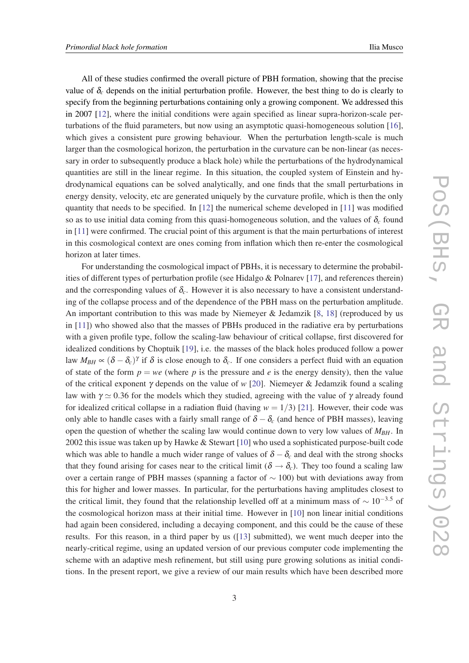All of these studies confirmed the overall picture of PBH formation, showing that the precise value of  $\delta_c$  depends on the initial perturbation profile. However, the best thing to do is clearly to specify from the beginning perturbations containing only a growing component. We addressed this in 2007 [\[12](#page-17-0)], where the initial conditions were again specified as linear supra-horizon-scale perturbations of the fluid parameters, but now using an asymptotic quasi-homogeneous solution [[16\]](#page-17-0), which gives a consistent pure growing behaviour. When the perturbation length-scale is much larger than the cosmological horizon, the perturbation in the curvature can be non-linear (as necessary in order to subsequently produce a black hole) while the perturbations of the hydrodynamical quantities are still in the linear regime. In this situation, the coupled system of Einstein and hydrodynamical equations can be solved analytically, and one finds that the small perturbations in energy density, velocity, etc are generated uniquely by the curvature profile, which is then the only quantity that needs to be specified. In  $[12]$  $[12]$  the numerical scheme developed in  $[11]$  $[11]$  $[11]$  was modified so as to use initial data coming from this quasi-homogeneous solution, and the values of  $\delta_c$  found in [[11\]](#page-17-0) were confirmed. The crucial point of this argument is that the main perturbations of interest in this cosmological context are ones coming from inflation which then re-enter the cosmological horizon at later times.

For understanding the cosmological impact of PBHs, it is necessary to determine the probabilities of different types of perturbation profile (see Hidalgo & Polnarev [[17\]](#page-17-0), and references therein) and the corresponding values of  $\delta_c$ . However it is also necessary to have a consistent understanding of the collapse process and of the dependence of the PBH mass on the perturbation amplitude. An important contribution to this was made by Niemeyer & Jedamzik [\[8,](#page-17-0) [18\]](#page-17-0) (reproduced by us in [[11\]](#page-17-0)) who showed also that the masses of PBHs produced in the radiative era by perturbations with a given profile type, follow the scaling-law behaviour of critical collapse, first discovered for idealized conditions by Choptuik [[19\]](#page-17-0), i.e. the masses of the black holes produced follow a power law  $M_{BH} \propto (\delta - \delta_c)^{\gamma}$  if  $\delta$  is close enough to  $\delta_c$ . If one considers a perfect fluid with an equation of state of the form  $p = we$  (where p is the pressure and e is the energy density), then the value of the critical exponent γ depends on the value of *w* [[20\]](#page-17-0). Niemeyer & Jedamzik found a scaling law with  $\gamma \simeq 0.36$  for the models which they studied, agreeing with the value of  $\gamma$  already found for idealized critical collapse in a radiation fluid (having  $w = 1/3$ ) [[21\]](#page-17-0). However, their code was only able to handle cases with a fairly small range of  $\delta - \delta_c$  (and hence of PBH masses), leaving open the question of whether the scaling law would continue down to very low values of *MBH*. In 2002 this issue was taken up by Hawke & Stewart [\[10](#page-17-0)] who used a sophisticated purpose-built code which was able to handle a much wider range of values of  $\delta - \delta_c$  and deal with the strong shocks that they found arising for cases near to the critical limit ( $\delta \rightarrow \delta_c$ ). They too found a scaling law over a certain range of PBH masses (spanning a factor of  $\sim$  100) but with deviations away from this for higher and lower masses. In particular, for the perturbations having amplitudes closest to the critical limit, they found that the relationship levelled off at a minimum mass of  $\sim 10^{-3.5}$  of the cosmological horizon mass at their initial time. However in [[10\]](#page-17-0) non linear initial conditions had again been considered, including a decaying component, and this could be the cause of these results. For this reason, in a third paper by us ([[13\]](#page-17-0) submitted), we went much deeper into the nearly-critical regime, using an updated version of our previous computer code implementing the scheme with an adaptive mesh refinement, but still using pure growing solutions as initial conditions. In the present report, we give a review of our main results which have been described more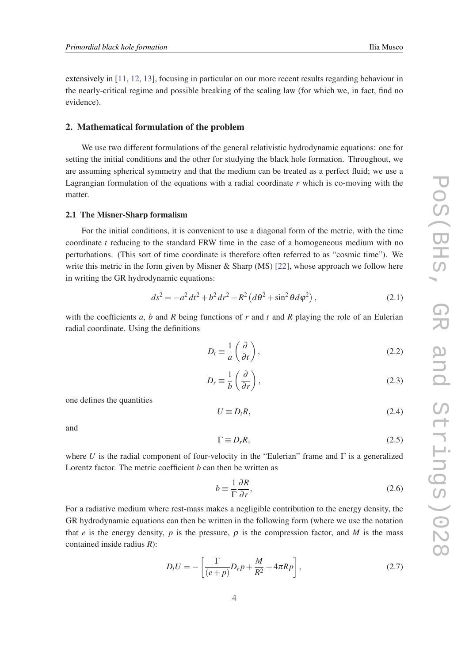<span id="page-3-0"></span>extensively in [[11,](#page-17-0) [12,](#page-17-0) [13\]](#page-17-0), focusing in particular on our more recent results regarding behaviour in the nearly-critical regime and possible breaking of the scaling law (for which we, in fact, find no evidence).

# 2. Mathematical formulation of the problem

We use two different formulations of the general relativistic hydrodynamic equations: one for setting the initial conditions and the other for studying the black hole formation. Throughout, we are assuming spherical symmetry and that the medium can be treated as a perfect fluid; we use a Lagrangian formulation of the equations with a radial coordinate *r* which is co-moving with the matter.

#### 2.1 The Misner-Sharp formalism

For the initial conditions, it is convenient to use a diagonal form of the metric, with the time coordinate *t* reducing to the standard FRW time in the case of a homogeneous medium with no perturbations. (This sort of time coordinate is therefore often referred to as "cosmic time"). We write this metric in the form given by Misner & Sharp (MS) [[22\]](#page-17-0), whose approach we follow here in writing the GR hydrodynamic equations:

$$
ds^{2} = -a^{2} dt^{2} + b^{2} dr^{2} + R^{2} (d\theta^{2} + \sin^{2} \theta d\varphi^{2}),
$$
 (2.1)

with the coefficients *a*, *b* and *R* being functions of *r* and *t* and *R* playing the role of an Eulerian radial coordinate. Using the definitions

$$
D_t \equiv \frac{1}{a} \left( \frac{\partial}{\partial t} \right),\tag{2.2}
$$

$$
D_r \equiv \frac{1}{b} \left( \frac{\partial}{\partial r} \right),\tag{2.3}
$$

one defines the quantities

$$
U \equiv D_t R, \tag{2.4}
$$

and

$$
\Gamma \equiv D_r R, \tag{2.5}
$$

where *U* is the radial component of four-velocity in the "Eulerian" frame and  $\Gamma$  is a generalized Lorentz factor. The metric coefficient *b* can then be written as

$$
b \equiv \frac{1}{\Gamma} \frac{\partial R}{\partial r},\tag{2.6}
$$

For a radiative medium where rest-mass makes a negligible contribution to the energy density, the GR hydrodynamic equations can then be written in the following form (where we use the notation that *e* is the energy density, *p* is the pressure,  $\rho$  is the compression factor, and *M* is the mass contained inside radius *R*):

$$
D_t U = -\left[\frac{\Gamma}{(e+p)}D_r p + \frac{M}{R^2} + 4\pi R p\right],\tag{2.7}
$$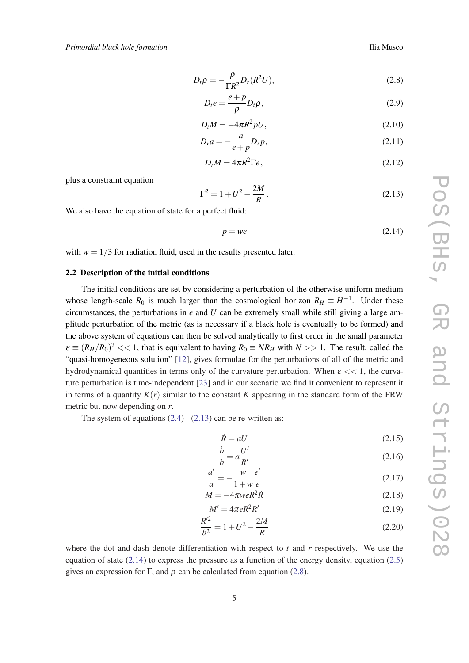$$
D_t \rho = -\frac{\rho}{\Gamma R^2} D_r(R^2 U), \qquad (2.8)
$$

$$
D_t e = \frac{e + p}{\rho} D_t \rho, \qquad (2.9)
$$

$$
D_t M = -4\pi R^2 pU,\tag{2.10}
$$

$$
D_r a = -\frac{a}{e+p} D_r p,\tag{2.11}
$$

$$
D_r M = 4\pi R^2 \Gamma e, \qquad (2.12)
$$

<span id="page-4-0"></span>plus a constraint equation

$$
\Gamma^2 = 1 + U^2 - \frac{2M}{R} \,. \tag{2.13}
$$

We also have the equation of state for a perfect fluid:

$$
p = we \tag{2.14}
$$

with  $w = 1/3$  for radiation fluid, used in the results presented later.

# 2.2 Description of the initial conditions

The initial conditions are set by considering a perturbation of the otherwise uniform medium whose length-scale  $R_0$  is much larger than the cosmological horizon  $R_H \equiv H^{-1}$ . Under these circumstances, the perturbations in  $e$  and  $U$  can be extremely small while still giving a large amplitude perturbation of the metric (as is necessary if a black hole is eventually to be formed) and the above system of equations can then be solved analytically to first order in the small parameter  $\varepsilon \equiv (R_H/R_0)^2 << 1$ , that is equivalent to having  $R_0 \equiv NR_H$  with  $N >> 1$ . The result, called the "quasi-homogeneous solution" [[12\]](#page-17-0), gives formulae for the perturbations of all of the metric and hydrodynamical quantities in terms only of the curvature perturbation. When  $\varepsilon \ll 1$ , the curvature perturbation is time-independent [[23](#page-18-0)] and in our scenario we find it convenient to represent it in terms of a quantity  $K(r)$  similar to the constant K appearing in the standard form of the FRW metric but now depending on *r*.

The system of equations  $(2.4)$  $(2.4)$  -  $(2.13)$  can be re-written as:

$$
\dot{R} = aU\tag{2.15}
$$

$$
\frac{\dot{b}}{b} = a \frac{U'}{R'}\tag{2.16}
$$

$$
\frac{a'}{a} = -\frac{w}{1+w} \frac{e'}{e}
$$
\n
$$
(2.17)
$$

$$
\dot{M} = -4\pi w e R^2 R \tag{2.18}
$$

$$
M' = 4\pi eR^2R'
$$
 (2.19)

$$
\frac{R'^2}{b^2} = 1 + U^2 - \frac{2M}{R}
$$
 (2.20)

where the dot and dash denote differentiation with respect to  $t$  and  $r$  respectively. We use the equation of state  $(2.14)$  to express the pressure as a function of the energy density, equation  $(2.5)$  $(2.5)$  $(2.5)$ gives an expression for Γ, and  $\rho$  can be calculated from equation (2.8).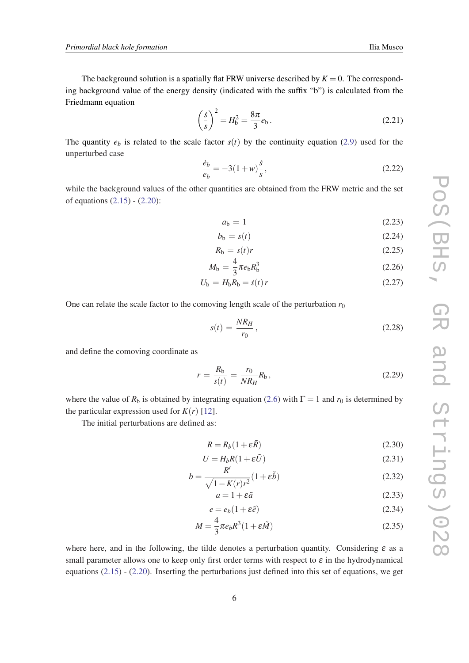<span id="page-5-0"></span>The background solution is a spatially flat FRW universe described by  $K = 0$ . The corresponding background value of the energy density (indicated with the suffix "b") is calculated from the Friedmann equation

$$
\left(\frac{\dot{s}}{s}\right)^2 = H_b^2 = \frac{8\pi}{3}e_b.
$$
 (2.21)

The quantity  $e_b$  is related to the scale factor  $s(t)$  by the continuity equation [\(2.9\)](#page-4-0) used for the unperturbed case

$$
\frac{\dot{e}_b}{e_b} = -3(1+w)\frac{\dot{s}}{s},\tag{2.22}
$$

while the background values of the other quantities are obtained from the FRW metric and the set of equations [\(2.15](#page-4-0)) - ([2.20\)](#page-4-0):

$$
a_{\rm b} = 1\tag{2.23}
$$

$$
b_{\mathbf{b}} = s(t) \tag{2.24}
$$

$$
R_{\rm b} = s(t)r \tag{2.25}
$$

$$
M_{\rm b} = \frac{4}{3}\pi e_{\rm b} R_{\rm b}^3 \tag{2.26}
$$

$$
U_{\rm b} = H_{\rm b} R_{\rm b} = \dot{s}(t) r \tag{2.27}
$$

One can relate the scale factor to the comoving length scale of the perturbation  $r_0$ 

$$
s(t) = \frac{NR_H}{r_0},\tag{2.28}
$$

and define the comoving coordinate as

$$
r = \frac{R_{\rm b}}{s(t)} = \frac{r_0}{NR_H} R_{\rm b},\tag{2.29}
$$

where the value of  $R_b$  is obtained by integrating equation ([2.6](#page-3-0)) with  $\Gamma = 1$  and  $r_0$  is determined by the particular expression used for  $K(r)$  [[12](#page-17-0)].

The initial perturbations are defined as:

$$
R = R_b(1 + \varepsilon \tilde{R})
$$
\n(2.30)

$$
U = H_b R (1 + \varepsilon \tilde{U}) \tag{2.31}
$$

$$
b = \frac{R'}{\sqrt{1 - K(r)r^2}} (1 + \varepsilon \tilde{b})
$$
\n(2.32)

$$
a = 1 + \varepsilon \tilde{a} \tag{2.33}
$$

$$
e = e_b(1 + \varepsilon \tilde{e}) \tag{2.34}
$$

$$
M = \frac{4}{3}\pi e_b R^3 (1 + \varepsilon \tilde{M})
$$
\n(2.35)

where here, and in the following, the tilde denotes a perturbation quantity. Considering  $\varepsilon$  as a small parameter allows one to keep only first order terms with respect to  $\varepsilon$  in the hydrodynamical equations ([2.15\)](#page-4-0) - ([2.20\)](#page-4-0). Inserting the perturbations just defined into this set of equations, we get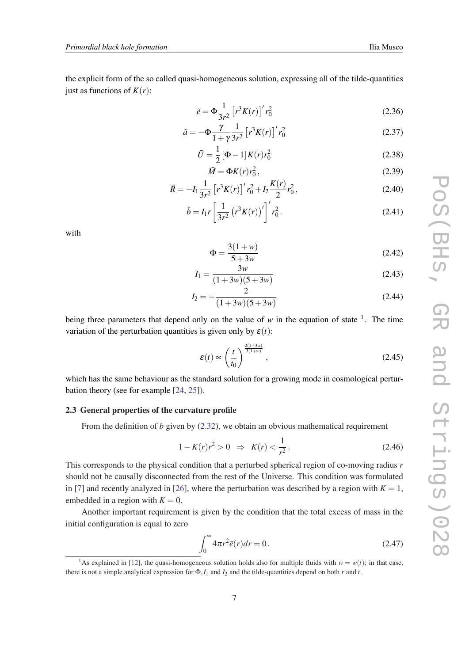<span id="page-6-0"></span>the explicit form of the so called quasi-homogeneous solution, expressing all of the tilde-quantities just as functions of  $K(r)$ :

$$
\tilde{e} = \Phi \frac{1}{3r^2} \left[ r^3 K(r) \right]^r r_0^2 \tag{2.36}
$$

$$
\tilde{a} = -\Phi \frac{\gamma}{1+\gamma} \frac{1}{3r^2} \left[ r^3 K(r) \right]^{\prime} r_0^2 \tag{2.37}
$$

$$
\tilde{U} = \frac{1}{2} [\Phi - 1] K(r) r_0^2
$$
\n(2.38)

$$
\tilde{M} = \Phi K(r) r_0^2, \qquad (2.39)
$$

$$
\tilde{R} = -I_1 \frac{1}{3r^2} \left[ r^3 K(r) \right] ' r_0^2 + I_2 \frac{K(r)}{2} r_0^2, \tag{2.40}
$$

$$
\tilde{b} = I_1 r \left[ \frac{1}{3r^2} \left( r^3 K(r) \right)' \right]' r_0^2.
$$
\n(2.41)

with

$$
\Phi = \frac{3(1+w)}{5+3w} \tag{2.42}
$$

$$
I_1 = \frac{3w}{(1+3w)(5+3w)}
$$
 (2.43)

$$
I_2 = -\frac{2}{(1+3w)(5+3w)}\tag{2.44}
$$

being three parameters that depend only on the value of  $w$  in the equation of state  $\frac{1}{w}$ . The time variation of the perturbation quantities is given only by  $\varepsilon(t)$ :

$$
\mathcal{E}(t) \propto \left(\frac{t}{t_0}\right)^{\frac{2(1+3w)}{3(1+w)}},\tag{2.45}
$$

which has the same behaviour as the standard solution for a growing mode in cosmological perturbation theory (see for example [[24,](#page-18-0) [25](#page-18-0)]).

#### 2.3 General properties of the curvature profile

From the definition of  $b$  given by  $(2.32)$ , we obtain an obvious mathematical requirement

$$
1 - K(r)r^2 > 0 \implies K(r) < \frac{1}{r^2} \,. \tag{2.46}
$$

This corresponds to the physical condition that a perturbed spherical region of co-moving radius *r* should not be causally disconnected from the rest of the Universe. This condition was formulated in [\[7\]](#page-17-0) and recently analyzed in [[26\]](#page-18-0), where the perturbation was described by a region with  $K = 1$ , embedded in a region with  $K = 0$ .

Another important requirement is given by the condition that the total excess of mass in the initial configuration is equal to zero

$$
\int_0^\infty 4\pi r^2 \tilde{e}(r) dr = 0.
$$
\n(2.47)

<sup>&</sup>lt;sup>1</sup>As explained in [\[12](#page-17-0)], the quasi-homogeneous solution holds also for multiple fluids with  $w = w(t)$ ; in that case, there is not a simple analytical expression for  $\Phi$ ,  $I_1$  and  $I_2$  and the tilde-quantities depend on both *r* and *t*.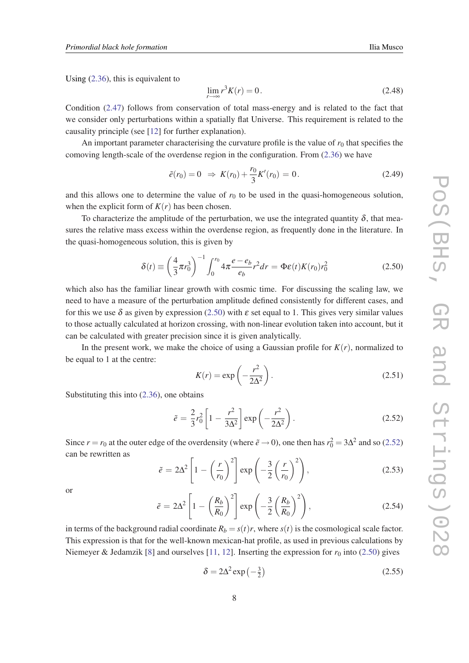Using ([2.36\)](#page-6-0), this is equivalent to

$$
\lim_{r \to \infty} r^3 K(r) = 0. \tag{2.48}
$$

Condition ([2.47\)](#page-6-0) follows from conservation of total mass-energy and is related to the fact that we consider only perturbations within a spatially flat Universe. This requirement is related to the causality principle (see [\[12](#page-17-0)] for further explanation).

An important parameter characterising the curvature profile is the value of  $r_0$  that specifies the comoving length-scale of the overdense region in the configuration. From [\(2.36\)](#page-6-0) we have

$$
\tilde{e}(r_0) = 0 \Rightarrow K(r_0) + \frac{r_0}{3} K'(r_0) = 0.
$$
\n(2.49)

and this allows one to determine the value of  $r_0$  to be used in the quasi-homogeneous solution, when the explicit form of  $K(r)$  has been chosen.

To characterize the amplitude of the perturbation, we use the integrated quantity  $\delta$ , that measures the relative mass excess within the overdense region, as frequently done in the literature. In the quasi-homogeneous solution, this is given by

$$
\delta(t) \equiv \left(\frac{4}{3}\pi r_0^3\right)^{-1} \int_0^{r_0} 4\pi \frac{e - e_b}{e_b} r^2 dr = \Phi \varepsilon(t) K(r_0) r_0^2 \tag{2.50}
$$

which also has the familiar linear growth with cosmic time. For discussing the scaling law, we need to have a measure of the perturbation amplitude defined consistently for different cases, and for this we use  $\delta$  as given by expression (2.50) with  $\varepsilon$  set equal to 1. This gives very similar values to those actually calculated at horizon crossing, with non-linear evolution taken into account, but it can be calculated with greater precision since it is given analytically.

In the present work, we make the choice of using a Gaussian profile for  $K(r)$ , normalized to be equal to 1 at the centre:

$$
K(r) = \exp\left(-\frac{r^2}{2\Delta^2}\right). \tag{2.51}
$$

Substituting this into ([2.36\)](#page-6-0), one obtains

$$
\tilde{e} = \frac{2}{3}r_0^2 \left[1 - \frac{r^2}{3\Delta^2}\right] \exp\left(-\frac{r^2}{2\Delta^2}\right). \tag{2.52}
$$

Since  $r = r_0$  at the outer edge of the overdensity (where  $\tilde{e} \to 0$ ), one then has  $r_0^2 = 3\Delta^2$  and so (2.52) can be rewritten as

$$
\tilde{e} = 2\Delta^2 \left[ 1 - \left(\frac{r}{r_0}\right)^2 \right] \exp\left(-\frac{3}{2}\left(\frac{r}{r_0}\right)^2\right),\tag{2.53}
$$

or

$$
\tilde{e} = 2\Delta^2 \left[ 1 - \left(\frac{R_b}{R_0}\right)^2 \right] \exp\left(-\frac{3}{2}\left(\frac{R_b}{R_0}\right)^2\right),\tag{2.54}
$$

in terms of the background radial coordinate  $R_b = s(t)r$ , where  $s(t)$  is the cosmological scale factor. This expression is that for the well-known mexican-hat profile, as used in previous calculations by Niemeyer & Jedamzik [[8](#page-17-0)] and ourselves [\[11](#page-17-0), [12\]](#page-17-0). Inserting the expression for  $r_0$  into (2.50) gives

$$
\delta = 2\Delta^2 \exp\left(-\frac{3}{2}\right) \tag{2.55}
$$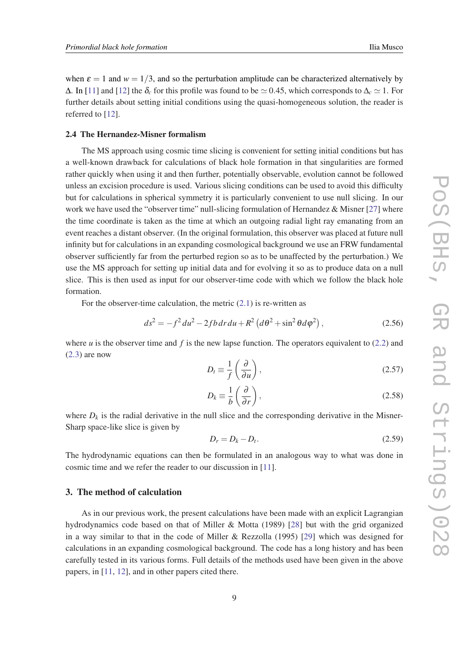when  $\varepsilon = 1$  and  $w = 1/3$ , and so the perturbation amplitude can be characterized alternatively by  $\Delta$ . In [\[11](#page-17-0)] and [\[12](#page-17-0)] the  $\delta_c$  for this profile was found to be  $\simeq 0.45$ , which corresponds to  $\Delta_c \simeq 1$ . For further details about setting initial conditions using the quasi-homogeneous solution, the reader is referred to [\[12](#page-17-0)].

#### 2.4 The Hernandez-Misner formalism

The MS approach using cosmic time slicing is convenient for setting initial conditions but has a well-known drawback for calculations of black hole formation in that singularities are formed rather quickly when using it and then further, potentially observable, evolution cannot be followed unless an excision procedure is used. Various slicing conditions can be used to avoid this difficulty but for calculations in spherical symmetry it is particularly convenient to use null slicing. In our work we have used the "observer time" null-slicing formulation of Hernandez & Misner [\[27](#page-18-0)] where the time coordinate is taken as the time at which an outgoing radial light ray emanating from an event reaches a distant observer. (In the original formulation, this observer was placed at future null infinity but for calculations in an expanding cosmological background we use an FRW fundamental observer sufficiently far from the perturbed region so as to be unaffected by the perturbation.) We use the MS approach for setting up initial data and for evolving it so as to produce data on a null slice. This is then used as input for our observer-time code with which we follow the black hole formation.

For the observer-time calculation, the metric  $(2.1)$  $(2.1)$  is re-written as

$$
ds^{2} = -f^{2} du^{2} - 2fb dr du + R^{2} (d\theta^{2} + \sin^{2} \theta d\varphi^{2}),
$$
 (2.56)

where *u* is the observer time and *f* is the new lapse function. The operators equivalent to  $(2.2)$  and  $(2.3)$  $(2.3)$  are now

$$
D_t \equiv \frac{1}{f} \left( \frac{\partial}{\partial u} \right),\tag{2.57}
$$

$$
D_k \equiv \frac{1}{b} \left( \frac{\partial}{\partial r} \right),\tag{2.58}
$$

where  $D_k$  is the radial derivative in the null slice and the corresponding derivative in the Misner-Sharp space-like slice is given by

$$
D_r = D_k - D_t. \tag{2.59}
$$

The hydrodynamic equations can then be formulated in an analogous way to what was done in cosmic time and we refer the reader to our discussion in [[11\]](#page-17-0).

# 3. The method of calculation

As in our previous work, the present calculations have been made with an explicit Lagrangian hydrodynamics code based on that of Miller & Motta (1989) [\[28](#page-18-0)] but with the grid organized in a way similar to that in the code of Miller & Rezzolla (1995) [[29\]](#page-18-0) which was designed for calculations in an expanding cosmological background. The code has a long history and has been carefully tested in its various forms. Full details of the methods used have been given in the above papers, in [\[11](#page-17-0), [12](#page-17-0)], and in other papers cited there.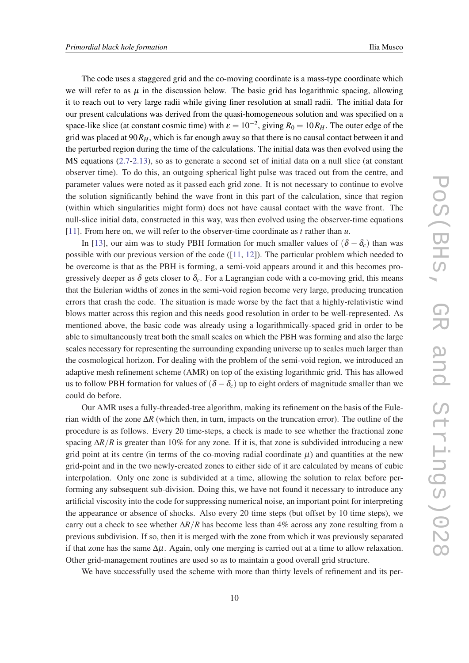The code uses a staggered grid and the co-moving coordinate is a mass-type coordinate which we will refer to as  $\mu$  in the discussion below. The basic grid has logarithmic spacing, allowing it to reach out to very large radii while giving finer resolution at small radii. The initial data for our present calculations was derived from the quasi-homogeneous solution and was specified on a space-like slice (at constant cosmic time) with  $\varepsilon = 10^{-2}$ , giving  $R_0 = 10R_H$ . The outer edge of the grid was placed at 90*RH*, which is far enough away so that there is no causal contact between it and the perturbed region during the time of the calculations. The initial data was then evolved using the MS equations [\(2.7](#page-3-0)[-2.13\)](#page-4-0), so as to generate a second set of initial data on a null slice (at constant observer time). To do this, an outgoing spherical light pulse was traced out from the centre, and parameter values were noted as it passed each grid zone. It is not necessary to continue to evolve the solution significantly behind the wave front in this part of the calculation, since that region (within which singularities might form) does not have causal contact with the wave front. The null-slice initial data, constructed in this way, was then evolved using the observer-time equations [[11\]](#page-17-0). From here on, we will refer to the observer-time coordinate as *t* rather than *u*.

In [[13\]](#page-17-0), our aim was to study PBH formation for much smaller values of  $(\delta - \delta_c)$  than was possible with our previous version of the code ([\[11](#page-17-0), [12\]](#page-17-0)). The particular problem which needed to be overcome is that as the PBH is forming, a semi-void appears around it and this becomes progressively deeper as  $\delta$  gets closer to  $\delta_c$ . For a Lagrangian code with a co-moving grid, this means that the Eulerian widths of zones in the semi-void region become very large, producing truncation errors that crash the code. The situation is made worse by the fact that a highly-relativistic wind blows matter across this region and this needs good resolution in order to be well-represented. As mentioned above, the basic code was already using a logarithmically-spaced grid in order to be able to simultaneously treat both the small scales on which the PBH was forming and also the large scales necessary for representing the surrounding expanding universe up to scales much larger than the cosmological horizon. For dealing with the problem of the semi-void region, we introduced an adaptive mesh refinement scheme (AMR) on top of the existing logarithmic grid. This has allowed us to follow PBH formation for values of  $(\delta - \delta_c)$  up to eight orders of magnitude smaller than we could do before.

Our AMR uses a fully-threaded-tree algorithm, making its refinement on the basis of the Eulerian width of the zone ∆*R* (which then, in turn, impacts on the truncation error). The outline of the procedure is as follows. Every 20 time-steps, a check is made to see whether the fractional zone spacing  $\Delta R/R$  is greater than 10% for any zone. If it is, that zone is subdivided introducing a new grid point at its centre (in terms of the co-moving radial coordinate  $\mu$ ) and quantities at the new grid-point and in the two newly-created zones to either side of it are calculated by means of cubic interpolation. Only one zone is subdivided at a time, allowing the solution to relax before performing any subsequent sub-division. Doing this, we have not found it necessary to introduce any artificial viscosity into the code for suppressing numerical noise, an important point for interpreting the appearance or absence of shocks. Also every 20 time steps (but offset by 10 time steps), we carry out a check to see whether ∆*R*/*R* has become less than 4% across any zone resulting from a previous subdivision. If so, then it is merged with the zone from which it was previously separated if that zone has the same  $\Delta \mu$ . Again, only one merging is carried out at a time to allow relaxation. Other grid-management routines are used so as to maintain a good overall grid structure.

We have successfully used the scheme with more than thirty levels of refinement and its per-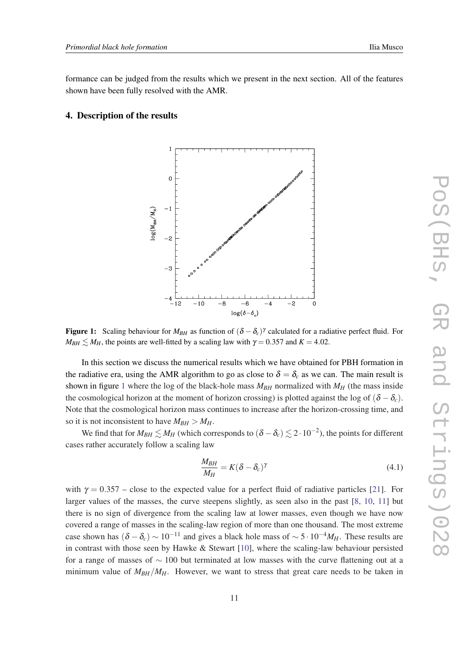formance can be judged from the results which we present in the next section. All of the features shown have been fully resolved with the AMR.

# 4. Description of the results



**Figure 1:** Scaling behaviour for  $M_{BH}$  as function of  $(\delta - \delta_c)^{\gamma}$  calculated for a radiative perfect fluid. For  $M_{BH} \leq M_H$ , the points are well-fitted by a scaling law with  $\gamma = 0.357$  and  $K = 4.02$ .

In this section we discuss the numerical results which we have obtained for PBH formation in the radiative era, using the AMR algorithm to go as close to  $\delta = \delta_c$  as we can. The main result is shown in figure 1 where the log of the black-hole mass  $M_{BH}$  normalized with  $M_H$  (the mass inside the cosmological horizon at the moment of horizon crossing) is plotted against the log of  $(\delta - \delta_c)$ . Note that the cosmological horizon mass continues to increase after the horizon-crossing time, and so it is not inconsistent to have  $M_{BH} > M_H$ .

We find that for  $M_{BH} \lesssim M_H$  (which corresponds to  $(\delta - \delta_c) \lesssim 2 \cdot 10^{-2}$ ), the points for different cases rather accurately follow a scaling law

$$
\frac{M_{BH}}{M_H} = K(\delta - \delta_c)^\gamma \tag{4.1}
$$

with  $\gamma = 0.357$  – close to the expected value for a perfect fluid of radiative particles [[21\]](#page-17-0). For larger values of the masses, the curve steepens slightly, as seen also in the past [\[8,](#page-17-0) [10](#page-17-0), [11\]](#page-17-0) but there is no sign of divergence from the scaling law at lower masses, even though we have now covered a range of masses in the scaling-law region of more than one thousand. The most extreme case shown has  $(δ – δ<sub>c</sub>)$  ∼ 10<sup>-11</sup> and gives a black hole mass of ∼ 5 · 10<sup>-4</sup>*MH*. These results are in contrast with those seen by Hawke  $&$  Stewart [\[10](#page-17-0)], where the scaling-law behaviour persisted for a range of masses of  $\sim$  100 but terminated at low masses with the curve flattening out at a minimum value of  $M_{BH}/M_{H}$ . However, we want to stress that great care needs to be taken in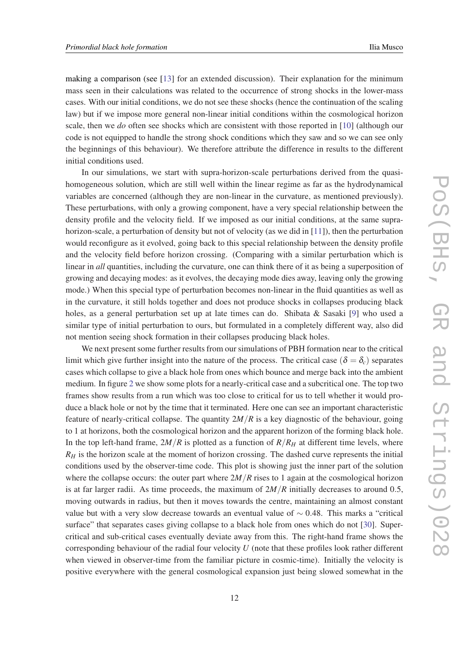making a comparison (see [[13\]](#page-17-0) for an extended discussion). Their explanation for the minimum mass seen in their calculations was related to the occurrence of strong shocks in the lower-mass cases. With our initial conditions, we do not see these shocks (hence the continuation of the scaling law) but if we impose more general non-linear initial conditions within the cosmological horizon scale, then we *do* often see shocks which are consistent with those reported in [[10\]](#page-17-0) (although our code is not equipped to handle the strong shock conditions which they saw and so we can see only the beginnings of this behaviour). We therefore attribute the difference in results to the different initial conditions used.

In our simulations, we start with supra-horizon-scale perturbations derived from the quasihomogeneous solution, which are still well within the linear regime as far as the hydrodynamical variables are concerned (although they are non-linear in the curvature, as mentioned previously). These perturbations, with only a growing component, have a very special relationship between the density profile and the velocity field. If we imposed as our initial conditions, at the same suprahorizon-scale, a perturbation of density but not of velocity (as we did in [\[11](#page-17-0)]), then the perturbation would reconfigure as it evolved, going back to this special relationship between the density profile and the velocity field before horizon crossing. (Comparing with a similar perturbation which is linear in *all* quantities, including the curvature, one can think there of it as being a superposition of growing and decaying modes: as it evolves, the decaying mode dies away, leaving only the growing mode.) When this special type of perturbation becomes non-linear in the fluid quantities as well as in the curvature, it still holds together and does not produce shocks in collapses producing black holes, as a general perturbation set up at late times can do. Shibata & Sasaki [[9](#page-17-0)] who used a similar type of initial perturbation to ours, but formulated in a completely different way, also did not mention seeing shock formation in their collapses producing black holes.

We next present some further results from our simulations of PBH formation near to the critical limit which give further insight into the nature of the process. The critical case ( $\delta = \delta_c$ ) separates cases which collapse to give a black hole from ones which bounce and merge back into the ambient medium. In figure [2](#page-12-0) we show some plots for a nearly-critical case and a subcritical one. The top two frames show results from a run which was too close to critical for us to tell whether it would produce a black hole or not by the time that it terminated. Here one can see an important characteristic feature of nearly-critical collapse. The quantity  $2M/R$  is a key diagnostic of the behaviour, going to 1 at horizons, both the cosmological horizon and the apparent horizon of the forming black hole. In the top left-hand frame,  $2M/R$  is plotted as a function of  $R/R<sub>H</sub>$  at different time levels, where  $R<sub>H</sub>$  is the horizon scale at the moment of horizon crossing. The dashed curve represents the initial conditions used by the observer-time code. This plot is showing just the inner part of the solution where the collapse occurs: the outer part where  $2M/R$  rises to 1 again at the cosmological horizon is at far larger radii. As time proceeds, the maximum of  $2M/R$  initially decreases to around 0.5, moving outwards in radius, but then it moves towards the centre, maintaining an almost constant value but with a very slow decrease towards an eventual value of  $\sim$  0.48. This marks a "critical" surface" that separates cases giving collapse to a black hole from ones which do not [\[30](#page-18-0)]. Supercritical and sub-critical cases eventually deviate away from this. The right-hand frame shows the corresponding behaviour of the radial four velocity *U* (note that these profiles look rather different when viewed in observer-time from the familiar picture in cosmic-time). Initially the velocity is positive everywhere with the general cosmological expansion just being slowed somewhat in the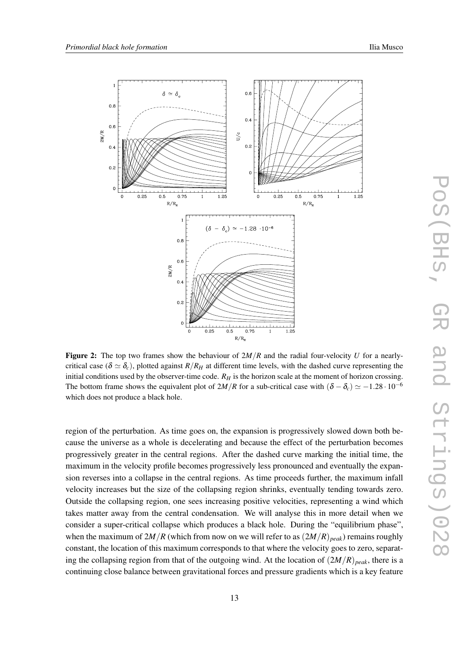<span id="page-12-0"></span>

**Figure 2:** The top two frames show the behaviour of  $2M/R$  and the radial four-velocity *U* for a nearlycritical case ( $\delta \simeq \delta_c$ ), plotted against *R*/*R<sub>H</sub>* at different time levels, with the dashed curve representing the initial conditions used by the observer-time code.  $R_H$  is the horizon scale at the moment of horizon crossing. The bottom frame shows the equivalent plot of  $2M/R$  for a sub-critical case with  $(\delta - \delta_c) \simeq -1.28 \cdot 10^{-6}$ which does not produce a black hole.

region of the perturbation. As time goes on, the expansion is progressively slowed down both because the universe as a whole is decelerating and because the effect of the perturbation becomes progressively greater in the central regions. After the dashed curve marking the initial time, the maximum in the velocity profile becomes progressively less pronounced and eventually the expansion reverses into a collapse in the central regions. As time proceeds further, the maximum infall velocity increases but the size of the collapsing region shrinks, eventually tending towards zero. Outside the collapsing region, one sees increasing positive velocities, representing a wind which takes matter away from the central condensation. We will analyse this in more detail when we consider a super-critical collapse which produces a black hole. During the "equilibrium phase", when the maximum of  $2M/R$  (which from now on we will refer to as  $(2M/R)_{peak}$ ) remains roughly constant, the location of this maximum corresponds to that where the velocity goes to zero, separating the collapsing region from that of the outgoing wind. At the location of (2*M*/*R*)*peak*, there is a continuing close balance between gravitational forces and pressure gradients which is a key feature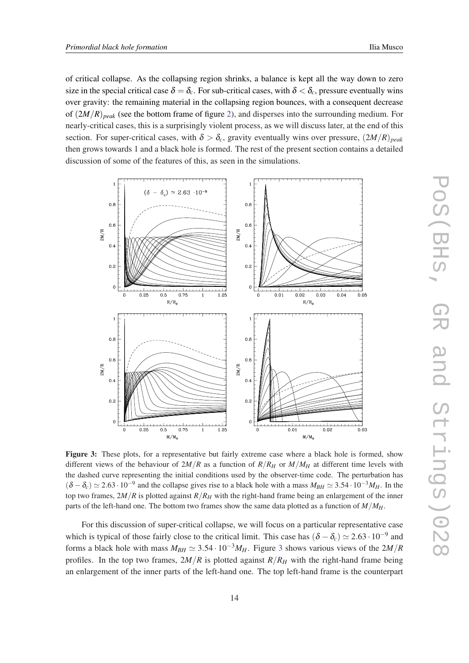<span id="page-13-0"></span>of critical collapse. As the collapsing region shrinks, a balance is kept all the way down to zero size in the special critical case  $\delta = \delta_c$ . For sub-critical cases, with  $\delta < \delta_c$ , pressure eventually wins over gravity: the remaining material in the collapsing region bounces, with a consequent decrease of (2*M*/*R*)*peak* (see the bottom frame of figure [2](#page-12-0)), and disperses into the surrounding medium. For nearly-critical cases, this is a surprisingly violent process, as we will discuss later, at the end of this section. For super-critical cases, with  $\delta > \delta_c$ , gravity eventually wins over pressure,  $(2M/R)_{peak}$ then grows towards 1 and a black hole is formed. The rest of the present section contains a detailed discussion of some of the features of this, as seen in the simulations.



Figure 3: These plots, for a representative but fairly extreme case where a black hole is formed, show different views of the behaviour of  $2M/R$  as a function of  $R/R<sub>H</sub>$  or  $M/M<sub>H</sub>$  at different time levels with the dashed curve representing the initial conditions used by the observer-time code. The perturbation has  $(\delta - \delta_c) \simeq 2.63 \cdot 10^{-9}$  and the collapse gives rise to a black hole with a mass  $M_{BH} \simeq 3.54 \cdot 10^{-3} M_H$ . In the top two frames,  $2M/R$  is plotted against  $R/R<sub>H</sub>$  with the right-hand frame being an enlargement of the inner parts of the left-hand one. The bottom two frames show the same data plotted as a function of *M*/*MH*.

For this discussion of super-critical collapse, we will focus on a particular representative case which is typical of those fairly close to the critical limit. This case has  $(\delta - \delta_c) \simeq 2.63 \cdot 10^{-9}$  and forms a black hole with mass  $M_{BH} \simeq 3.54 \cdot 10^{-3} M_H$ . Figure 3 shows various views of the 2*M*/*R* profiles. In the top two frames,  $2M/R$  is plotted against  $R/R<sub>H</sub>$  with the right-hand frame being an enlargement of the inner parts of the left-hand one. The top left-hand frame is the counterpart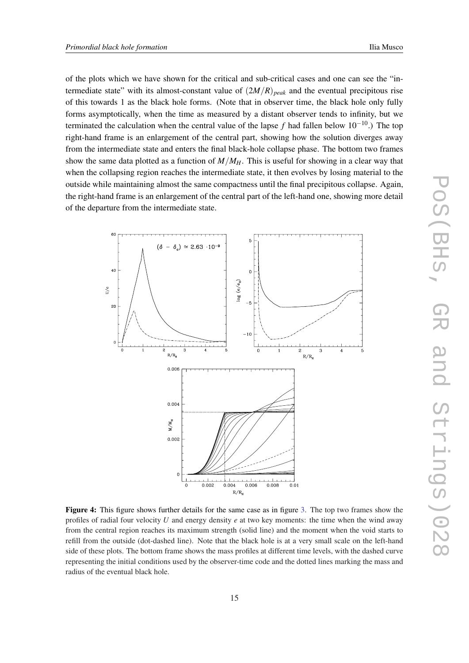<span id="page-14-0"></span>of the plots which we have shown for the critical and sub-critical cases and one can see the "intermediate state" with its almost-constant value of  $(2M/R)_{peak}$  and the eventual precipitous rise of this towards 1 as the black hole forms. (Note that in observer time, the black hole only fully forms asymptotically, when the time as measured by a distant observer tends to infinity, but we terminated the calculation when the central value of the lapse *f* had fallen below 10−10.) The top right-hand frame is an enlargement of the central part, showing how the solution diverges away from the intermediate state and enters the final black-hole collapse phase. The bottom two frames show the same data plotted as a function of *M*/*MH*. This is useful for showing in a clear way that when the collapsing region reaches the intermediate state, it then evolves by losing material to the outside while maintaining almost the same compactness until the final precipitous collapse. Again, the right-hand frame is an enlargement of the central part of the left-hand one, showing more detail of the departure from the intermediate state.



Figure 4: This figure shows further details for the same case as in figure [3.](#page-13-0) The top two frames show the profiles of radial four velocity *U* and energy density *e* at two key moments: the time when the wind away from the central region reaches its maximum strength (solid line) and the moment when the void starts to refill from the outside (dot-dashed line). Note that the black hole is at a very small scale on the left-hand side of these plots. The bottom frame shows the mass profiles at different time levels, with the dashed curve representing the initial conditions used by the observer-time code and the dotted lines marking the mass and radius of the eventual black hole.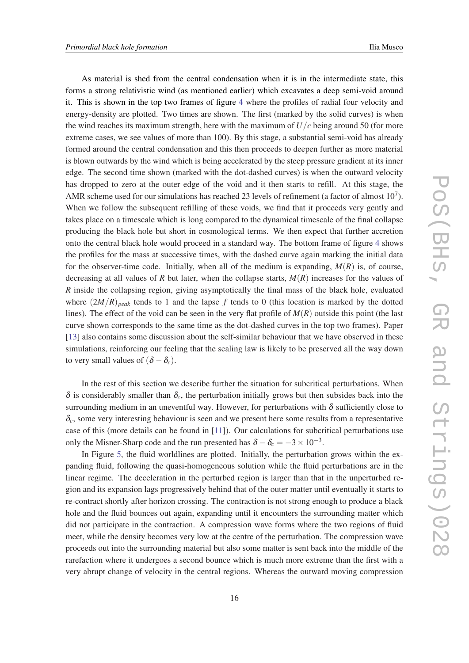As material is shed from the central condensation when it is in the intermediate state, this forms a strong relativistic wind (as mentioned earlier) which excavates a deep semi-void around it. This is shown in the top two frames of figure [4](#page-14-0) where the profiles of radial four velocity and energy-density are plotted. Two times are shown. The first (marked by the solid curves) is when the wind reaches its maximum strength, here with the maximum of *U*/*c* being around 50 (for more extreme cases, we see values of more than 100). By this stage, a substantial semi-void has already formed around the central condensation and this then proceeds to deepen further as more material is blown outwards by the wind which is being accelerated by the steep pressure gradient at its inner edge. The second time shown (marked with the dot-dashed curves) is when the outward velocity has dropped to zero at the outer edge of the void and it then starts to refill. At this stage, the AMR scheme used for our simulations has reached 23 levels of refinement (a factor of almost  $10^7$ ). When we follow the subsequent refilling of these voids, we find that it proceeds very gently and takes place on a timescale which is long compared to the dynamical timescale of the final collapse producing the black hole but short in cosmological terms. We then expect that further accretion onto the central black hole would proceed in a standard way. The bottom frame of figure [4](#page-14-0) shows the profiles for the mass at successive times, with the dashed curve again marking the initial data for the observer-time code. Initially, when all of the medium is expanding,  $M(R)$  is, of course, decreasing at all values of *R* but later, when the collapse starts, *M*(*R*) increases for the values of *R* inside the collapsing region, giving asymptotically the final mass of the black hole, evaluated where  $(2M/R)_{peak}$  tends to 1 and the lapse f tends to 0 (this location is marked by the dotted lines). The effect of the void can be seen in the very flat profile of  $M(R)$  outside this point (the last curve shown corresponds to the same time as the dot-dashed curves in the top two frames). Paper [[13\]](#page-17-0) also contains some discussion about the self-similar behaviour that we have observed in these simulations, reinforcing our feeling that the scaling law is likely to be preserved all the way down to very small values of  $(\delta - \delta_c)$ .

In the rest of this section we describe further the situation for subcritical perturbations. When  $\delta$  is considerably smaller than  $\delta_c$ , the perturbation initially grows but then subsides back into the surrounding medium in an uneventful way. However, for perturbations with  $\delta$  sufficiently close to  $\delta_c$ , some very interesting behaviour is seen and we present here some results from a representative case of this (more details can be found in [\[11\]](#page-17-0)). Our calculations for subcritical perturbations use only the Misner-Sharp code and the run presented has  $\delta - \delta_c = -3 \times 10^{-3}$ .

In Figure [5,](#page-16-0) the fluid worldlines are plotted. Initially, the perturbation grows within the expanding fluid, following the quasi-homogeneous solution while the fluid perturbations are in the linear regime. The deceleration in the perturbed region is larger than that in the unperturbed region and its expansion lags progressively behind that of the outer matter until eventually it starts to re-contract shortly after horizon crossing. The contraction is not strong enough to produce a black hole and the fluid bounces out again, expanding until it encounters the surrounding matter which did not participate in the contraction. A compression wave forms where the two regions of fluid meet, while the density becomes very low at the centre of the perturbation. The compression wave proceeds out into the surrounding material but also some matter is sent back into the middle of the rarefaction where it undergoes a second bounce which is much more extreme than the first with a very abrupt change of velocity in the central regions. Whereas the outward moving compression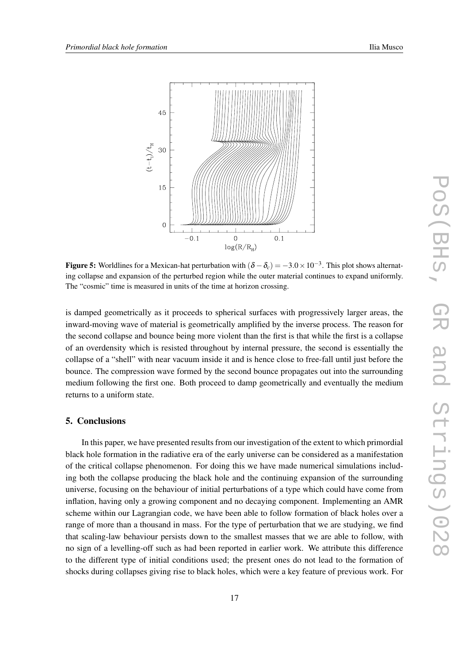<span id="page-16-0"></span>

Figure 5: Worldlines for a Mexican-hat perturbation with  $(\delta - \delta_c) = -3.0 \times 10^{-3}$ . This plot shows alternating collapse and expansion of the perturbed region while the outer material continues to expand uniformly. The "cosmic" time is measured in units of the time at horizon crossing.

is damped geometrically as it proceeds to spherical surfaces with progressively larger areas, the inward-moving wave of material is geometrically amplified by the inverse process. The reason for the second collapse and bounce being more violent than the first is that while the first is a collapse of an overdensity which is resisted throughout by internal pressure, the second is essentially the collapse of a "shell" with near vacuum inside it and is hence close to free-fall until just before the bounce. The compression wave formed by the second bounce propagates out into the surrounding medium following the first one. Both proceed to damp geometrically and eventually the medium returns to a uniform state.

# 5. Conclusions

In this paper, we have presented results from our investigation of the extent to which primordial black hole formation in the radiative era of the early universe can be considered as a manifestation of the critical collapse phenomenon. For doing this we have made numerical simulations including both the collapse producing the black hole and the continuing expansion of the surrounding universe, focusing on the behaviour of initial perturbations of a type which could have come from inflation, having only a growing component and no decaying component. Implementing an AMR scheme within our Lagrangian code, we have been able to follow formation of black holes over a range of more than a thousand in mass. For the type of perturbation that we are studying, we find that scaling-law behaviour persists down to the smallest masses that we are able to follow, with no sign of a levelling-off such as had been reported in earlier work. We attribute this difference to the different type of initial conditions used; the present ones do not lead to the formation of shocks during collapses giving rise to black holes, which were a key feature of previous work. For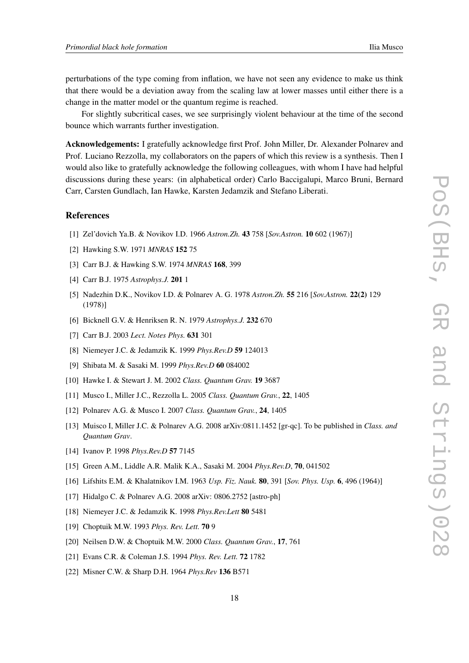<span id="page-17-0"></span>perturbations of the type coming from inflation, we have not seen any evidence to make us think that there would be a deviation away from the scaling law at lower masses until either there is a change in the matter model or the quantum regime is reached.

For slightly subcritical cases, we see surprisingly violent behaviour at the time of the second bounce which warrants further investigation.

Acknowledgements: I gratefully acknowledge first Prof. John Miller, Dr. Alexander Polnarev and Prof. Luciano Rezzolla, my collaborators on the papers of which this review is a synthesis. Then I would also like to gratefully acknowledge the following colleagues, with whom I have had helpful discussions during these years: (in alphabetical order) Carlo Baccigalupi, Marco Bruni, Bernard Carr, Carsten Gundlach, Ian Hawke, Karsten Jedamzik and Stefano Liberati.

# References

- [1] Zel'dovich Ya.B. & Novikov I.D. 1966 *Astron.Zh.* 43 758 [*Sov.Astron.* 10 602 (1967)]
- [2] Hawking S.W. 1971 *MNRAS* 152 75
- [3] Carr B.J. & Hawking S.W. 1974 *MNRAS* 168, 399
- [4] Carr B.J. 1975 *Astrophys.J.* 201 1
- [5] Nadezhin D.K., Novikov I.D. & Polnarev A. G. 1978 *Astron.Zh.* 55 216 [*Sov.Astron.* 22(2) 129 (1978)]
- [6] Bicknell G.V. & Henriksen R. N. 1979 *Astrophys.J.* 232 670
- [7] Carr B.J. 2003 *Lect. Notes Phys.* 631 301
- [8] Niemeyer J.C. & Jedamzik K. 1999 *Phys.Rev.D* 59 124013
- [9] Shibata M. & Sasaki M. 1999 *Phys.Rev.D* 60 084002
- [10] Hawke I. & Stewart J. M. 2002 *Class. Quantum Grav.* 19 3687
- [11] Musco I., Miller J.C., Rezzolla L. 2005 *Class. Quantum Grav.*, 22, 1405
- [12] Polnarev A.G. & Musco I. 2007 *Class. Quantum Grav.*, 24, 1405
- [13] Muisco I, Miller J.C. & Polnarev A.G. 2008 arXiv:0811.1452 [gr-qc]. To be published in *Class. and Quantum Grav*.
- [14] Ivanov P. 1998 *Phys.Rev.D* 57 7145
- [15] Green A.M., Liddle A.R. Malik K.A., Sasaki M. 2004 *Phys.Rev.D*, 70, 041502
- [16] Lifshits E.M. & Khalatnikov I.M. 1963 *Usp. Fiz. Nauk.* 80, 391 [*Sov. Phys. Usp.* 6, 496 (1964)]
- [17] Hidalgo C. & Polnarev A.G. 2008 arXiv: 0806.2752 [astro-ph]
- [18] Niemeyer J.C. & Jedamzik K. 1998 *Phys.Rev.Lett* 80 5481
- [19] Choptuik M.W. 1993 *Phys. Rev. Lett.* 70 9
- [20] Neilsen D.W. & Choptuik M.W. 2000 *Class. Quantum Grav.*, 17, 761
- [21] Evans C.R. & Coleman J.S. 1994 *Phys. Rev. Lett.* 72 1782
- [22] Misner C.W. & Sharp D.H. 1964 *Phys.Rev* 136 B571